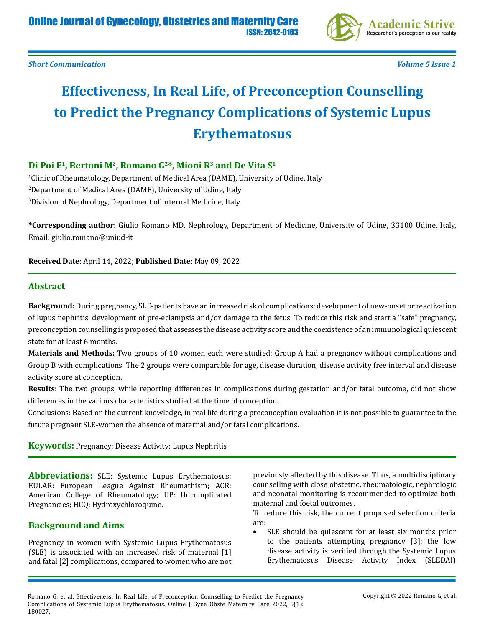

# **Effectiveness, In Real Life, of Preconception Counselling to Predict the Pregnancy Complications of Systemic Lupus Erythematosus**

# **Di Poi E1, Bertoni M2, Romano G2\*, Mioni R3 and De Vita S1**

1 Clinic of Rheumatology, Department of Medical Area (DAME), University of Udine, Italy 2 Department of Medical Area (DAME), University of Udine, Italy 3 Division of Nephrology, Department of Internal Medicine, Italy

**\*Corresponding author:** Giulio Romano MD, Nephrology, Department of Medicine, University of Udine, 33100 Udine, Italy, Email: giulio.romano@uniud-it

**Received Date:** April 14, 2022; **Published Date:** May 09, 2022

## **Abstract**

**Background:** During pregnancy, SLE-patients have an increased risk of complications: development of new-onset or reactivation of lupus nephritis, development of pre-eclampsia and/or damage to the fetus. To reduce this risk and start a "safe" pregnancy, preconception counselling is proposed that assesses the disease activity score and the coexistence of an immunological quiescent state for at least 6 months.

**Materials and Methods:** Two groups of 10 women each were studied: Group A had a pregnancy without complications and Group B with complications. The 2 groups were comparable for age, disease duration, disease activity free interval and disease activity score at conception.

**Results:** The two groups, while reporting differences in complications during gestation and/or fatal outcome, did not show differences in the various characteristics studied at the time of conception.

Conclusions: Based on the current knowledge, in real life during a preconception evaluation it is not possible to guarantee to the future pregnant SLE-women the absence of maternal and/or fatal complications.

**Keywords:** Pregnancy; Disease Activity; Lupus Nephritis

**Abbreviations:** SLE: Systemic Lupus Erythematosus; EULAR: European League Against Rheumathism; ACR: American College of Rheumatology; UP: Uncomplicated Pregnancies; HCQ: Hydroxychloroquine.

## **Background and Aims**

Pregnancy in women with Systemic Lupus Erythematosus (SLE) is associated with an increased risk of maternal [1] and fatal [2] complications, compared to women who are not

previously affected by this disease. Thus, a multidisciplinary counselling with close obstetric, rheumatologic, nephrologic and neonatal monitoring is recommended to optimize both maternal and foetal outcomes.

To reduce this risk, the current proposed selection criteria are:

SLE should be quiescent for at least six months prior to the patients attempting pregnancy [3]: the low disease activity is verified through the Systemic Lupus Erythematosus Disease Activity Index (SLEDAI)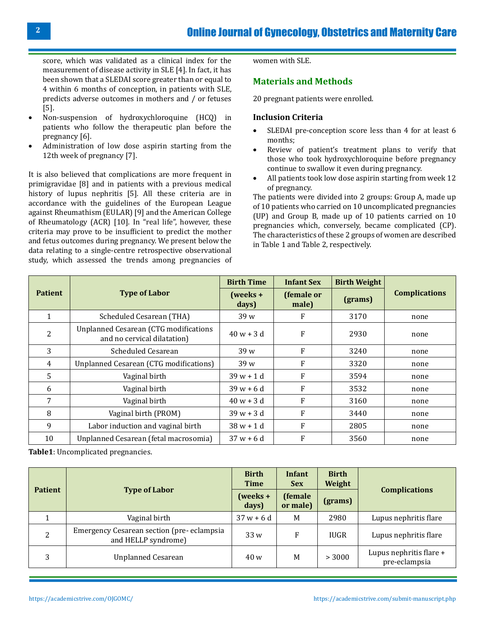score, which was validated as a clinical index for the measurement of disease activity in SLE [4]. In fact, it has been shown that a SLEDAI score greater than or equal to 4 within 6 months of conception, in patients with SLE, predicts adverse outcomes in mothers and / or fetuses [5].

- • Non-suspension of hydroxychloroquine (HCQ) in patients who follow the therapeutic plan before the pregnancy [6].
- Administration of low dose aspirin starting from the 12th week of pregnancy [7].

It is also believed that complications are more frequent in primigravidae [8] and in patients with a previous medical history of lupus nephritis [5]. All these criteria are in accordance with the guidelines of the European League against Rheumathism (EULAR) [9] and the American College of Rheumatology (ACR) [10]. In "real life", however, these criteria may prove to be insufficient to predict the mother and fetus outcomes during pregnancy. We present below the data relating to a single-centre retrospective observational study, which assessed the trends among pregnancies of women with SLE.

#### **Materials and Methods**

20 pregnant patients were enrolled.

#### **Inclusion Criteria**

- SLEDAI pre-conception score less than 4 for at least 6 months;
- • Review of patient's treatment plans to verify that those who took hydroxychloroquine before pregnancy continue to swallow it even during pregnancy.
- All patients took low dose aspirin starting from week 12 of pregnancy.

The patients were divided into 2 groups: Group A, made up of 10 patients who carried on 10 uncomplicated pregnancies (UP) and Group B, made up of 10 patients carried on 10 pregnancies which, conversely, became complicated (CP). The characteristics of these 2 groups of women are described in Table 1 and Table 2, respectively.

|                |                                                                             | <b>Birth Time</b>    | <b>Infant Sex</b>   | <b>Birth Weight</b> | <b>Complications</b> |  |
|----------------|-----------------------------------------------------------------------------|----------------------|---------------------|---------------------|----------------------|--|
| <b>Patient</b> | <b>Type of Labor</b>                                                        | $( weeks +$<br>days) | (female or<br>male) | (grams)             |                      |  |
|                | Scheduled Cesarean (THA)                                                    | 39 w                 | F                   | 3170                | none                 |  |
| 2              | <b>Unplanned Cesarean (CTG modifications</b><br>and no cervical dilatation) | $40 w + 3 d$         | F                   | 2930                | none                 |  |
| 3              | Scheduled Cesarean                                                          | 39 w                 | F                   | 3240                | none                 |  |
| $\overline{4}$ | Unplanned Cesarean (CTG modifications)                                      | 39 w                 | F                   | 3320                | none                 |  |
| 5              | Vaginal birth                                                               | $39w + 1d$           | F                   | 3594                | none                 |  |
| 6              | Vaginal birth                                                               | $39w + 6d$           | F                   | 3532                | none                 |  |
| 7              | Vaginal birth                                                               | $40 w + 3 d$         | F                   | 3160                | none                 |  |
| 8              | Vaginal birth (PROM)                                                        | $39 w + 3 d$         | F                   | 3440                | none                 |  |
| 9              | Labor induction and vaginal birth                                           | $38 w + 1 d$         | F                   | 2805                | none                 |  |
| 10             | Unplanned Cesarean (fetal macrosomia)                                       | $37 w + 6 d$         | F                   | 3560                | none                 |  |

**Table1**: Uncomplicated pregnancies.

| <b>Patient</b> |                                                                  | <b>Birth</b><br><b>Time</b> | <b>Infant</b><br><b>Sex</b> | <b>Birth</b><br>Weight |                                          |  |  |
|----------------|------------------------------------------------------------------|-----------------------------|-----------------------------|------------------------|------------------------------------------|--|--|
|                | <b>Type of Labor</b>                                             | $( weeks +$<br>days)        | (female<br>or male)         | (grams)                | <b>Complications</b>                     |  |  |
|                | Vaginal birth                                                    | $37 w + 6 d$                | M                           | 2980                   | Lupus nephritis flare                    |  |  |
| 2              | Emergency Cesarean section (pre-eclampsia<br>and HELLP syndrome) | 33w                         | F                           | <b>IUGR</b>            | Lupus nephritis flare                    |  |  |
| 3              | <b>Unplanned Cesarean</b>                                        | 40 w                        | M                           | > 3000                 | Lupus nephritis flare +<br>pre-eclampsia |  |  |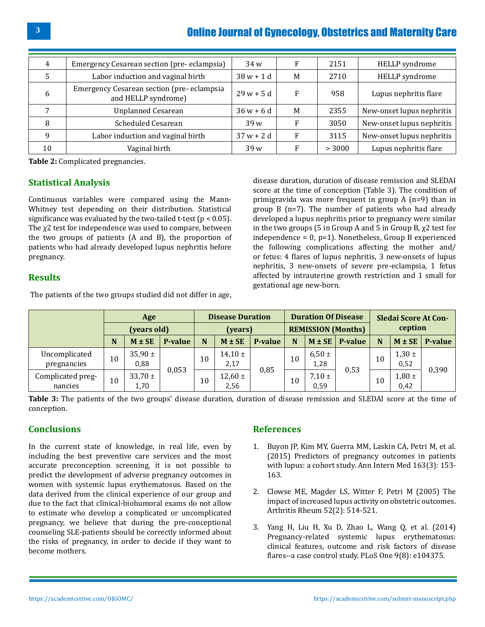| 4  | Emergency Cesarean section (pre-eclampsia)                       | 34w             |   | 2151   | HELLP syndrome            |
|----|------------------------------------------------------------------|-----------------|---|--------|---------------------------|
| 5  | Labor induction and vaginal birth                                | $38 w + 1 d$    | M | 2710   | HELLP syndrome            |
| 6  | Emergency Cesarean section (pre-eclampsia<br>and HELLP syndrome) | $29 w + 5 d$    | F | 958    | Lupus nephritis flare     |
|    | <b>Unplanned Cesarean</b>                                        | $36 w + 6 d$    | M | 2355   | New-onset lupus nephritis |
| 8  | <b>Scheduled Cesarean</b>                                        | 39w             |   | 3050   | New-onset lupus nephritis |
| q  | Labor induction and vaginal birth                                | $37 w + 2 d$    | F | 3115   | New-onset lupus nephritis |
| 10 | Vaginal birth                                                    | 39 <sub>w</sub> |   | > 3000 | Lupus nephritis flare     |

**Table 2:** Complicated pregnancies.

# **Statistical Analysis**

Continuous variables were compared using the Mann-Whitney test depending on their distribution. Statistical significance was evaluated by the two-tailed t-test ( $p < 0.05$ ). The χ2 test for independence was used to compare, between the two groups of patients (A and B), the proportion of patients who had already developed lupus nephritis before pregnancy.

# **Results**

The patients of the two groups studied did not differ in age,

disease duration, duration of disease remission and SLEDAI score at the time of conception (Table 3). The condition of primigravida was more frequent in group A (n=9) than in group B (n=7). The number of patients who had already developed a lupus nephritis prior to pregnancy were similar in the two groups (5 in Group A and 5 in Group B,  $\chi$ 2 test for independence = 0, p=1). Nonetheless, Group B experienced the following complications affecting the mother and/ or fetus: 4 flares of lupus nephritis, 3 new-onsets of lupus nephritis, 3 new-onsets of severe pre-eclampsia, 1 fetus affected by intrauterine growth restriction and 1 small for gestational age new-born.

|                              | Age<br>(years old) |                     | <b>Disease Duration</b> |    | <b>Duration Of Disease</b> |                |    | Sledai Score At Con-<br>ception |         |    |                    |         |
|------------------------------|--------------------|---------------------|-------------------------|----|----------------------------|----------------|----|---------------------------------|---------|----|--------------------|---------|
|                              |                    |                     | (years)                 |    | <b>REMISSION (Months)</b>  |                |    |                                 |         |    |                    |         |
|                              | N                  | $M \pm SE$          | <b>P-value</b>          | N  | $M \pm SE$                 | <b>P-value</b> | N  | $M \pm SE$                      | P-value | N  | $M \pm SE$         | P-value |
| Uncomplicated<br>pregnancies | 10                 | $35,90 \pm$<br>0,88 |                         | 10 | $14,10 \pm$<br>2,17        | 0,85           | 10 | $6,50 \pm$<br>1,28              | 0,53    | 10 | $1,30 \pm$<br>0,52 | 0,390   |
| Complicated preg-<br>nancies | 10                 | $33,70 \pm$<br>1,70 | 0,053                   | 10 | $12,60 \pm$<br>2,56        |                | 10 | $7,10 \pm$<br>0,59              |         | 10 | $1,80 \pm$<br>0,42 |         |

**Table 3:** The patients of the two groups' disease duration, duration of disease remission and SLEDAI score at the time of conception.

# **Conclusions**

In the current state of knowledge, in real life, even by including the best preventive care services and the most accurate preconception screening, it is not possible to predict the development of adverse pregnancy outcomes in women with systemic lupus erythematosus. Based on the data derived from the clinical experience of our group and due to the fact that clinical-biohumoral exams do not allow to estimate who develop a complicated or uncomplicated pregnancy, we believe that during the pre-conceptional counseling SLE-patients should be correctly informed about the risks of pregnancy, in order to decide if they want to become mothers.

## **References**

- 1. [Buyon JP, Kim MY, Guerra MM, Laskin CA, Petri M, et al.](https://pubmed.ncbi.nlm.nih.gov/26098843/)  [\(2015\) Predictors of pregnancy outcomes in patients](https://pubmed.ncbi.nlm.nih.gov/26098843/)  [with lupus: a cohort study. Ann Intern Med 163\(3\): 153-](https://pubmed.ncbi.nlm.nih.gov/26098843/) [163.](https://pubmed.ncbi.nlm.nih.gov/26098843/)
- 2. [Clowse ME, Magder LS, Witter F, Petri M \(2005\) The](https://pubmed.ncbi.nlm.nih.gov/15692988/) [impact of increased lupus activity on obstetric outcomes.](https://pubmed.ncbi.nlm.nih.gov/15692988/) [Arthritis Rheum 52\(2\): 514-521.](https://pubmed.ncbi.nlm.nih.gov/15692988/)
- 3. [Yang H, Liu H, Xu D, Zhao L, Wang Q, et al. \(2014\)](https://pubmed.ncbi.nlm.nih.gov/25118692/) [Pregnancy-related systemic lupus erythematosus:](https://pubmed.ncbi.nlm.nih.gov/25118692/) [clinical features, outcome and risk factors of disease](https://pubmed.ncbi.nlm.nih.gov/25118692/) [flares--a case control study. PLoS One 9\(8\): e104375.](https://pubmed.ncbi.nlm.nih.gov/25118692/)